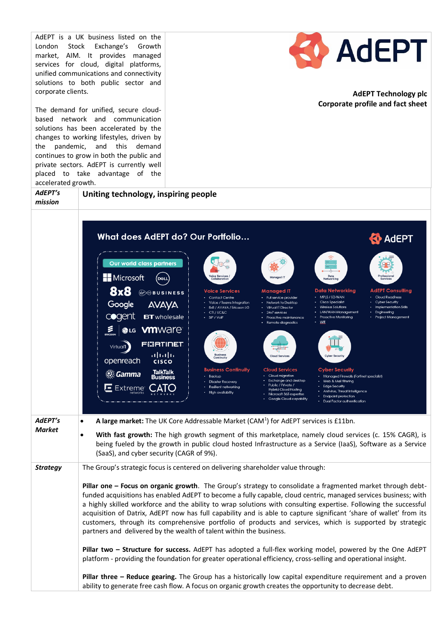AdEPT is a UK business listed on the London Stock Exchange's Growth market, AIM. It provides managed services for cloud, digital platforms, unified communications and connectivity solutions to both public sector and corporate clients.

The demand for unified, secure cloudbased network and communication solutions has been accelerated by the changes to working lifestyles, driven by the pandemic, and this demand continues to grow in both the public and private sectors. AdEPT is currently well placed to take advantage of the accelerated growth.



**AdEPT Technology plc Corporate profile and fact sheet** 

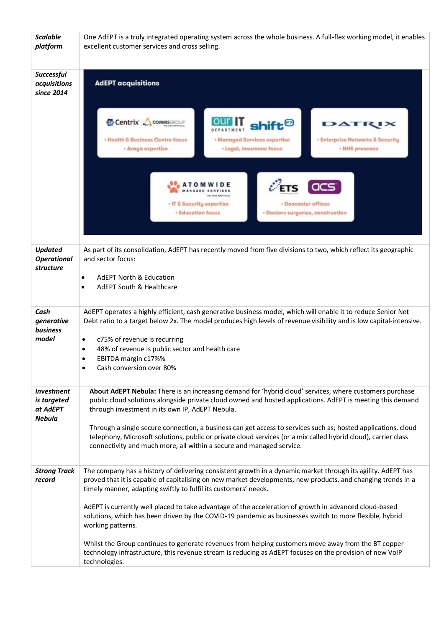| <b>Scalable</b><br>platform                            | One AdEPT is a truly integrated operating system across the whole business. A full-flex working model, it enables<br>excellent customer services and cross selling.                                                                                                                                                                                                                                                                                                                                                                                                                                                                                                                                                                                                           |
|--------------------------------------------------------|-------------------------------------------------------------------------------------------------------------------------------------------------------------------------------------------------------------------------------------------------------------------------------------------------------------------------------------------------------------------------------------------------------------------------------------------------------------------------------------------------------------------------------------------------------------------------------------------------------------------------------------------------------------------------------------------------------------------------------------------------------------------------------|
| <b>Successful</b><br>acquisitions<br>since 2014        | <b>AdEPT</b> acquisitions<br>Centrix COMMSGROUP<br>DATRIX<br>- Health & Business Centre focus<br>· Managed Services expertise<br>- Enterprise Networks & Security<br>- Avaya expertise<br>· Legal, insurance focus<br>- NHS presence<br>· IT & Security expertise<br>· Doncaster offices<br>· Education focus<br>· Doctors surgeries, construction                                                                                                                                                                                                                                                                                                                                                                                                                            |
| <b>Updated</b><br><b>Operational</b><br>structure      | As part of its consolidation, AdEPT has recently moved from five divisions to two, which reflect its geographic<br>and sector focus:<br><b>AdEPT North &amp; Education</b><br>AdEPT South & Healthcare                                                                                                                                                                                                                                                                                                                                                                                                                                                                                                                                                                        |
| Cash<br>generative<br>business<br>model                | AdEPT operates a highly efficient, cash generative business model, which will enable it to reduce Senior Net<br>Debt ratio to a target below 2x. The model produces high levels of revenue visibility and is low capital-intensive.<br>c75% of revenue is recurring<br>$\bullet$<br>48% of revenue is public sector and health care<br>$\bullet$<br>EBITDA margin c17%%<br>$\bullet$<br>Cash conversion over 80%<br>$\bullet$                                                                                                                                                                                                                                                                                                                                                 |
| <b>Investment</b><br>is targeted<br>at AdEPT<br>Nebula | About AdEPT Nebula: There is an increasing demand for 'hybrid cloud' services, where customers purchase<br>public cloud solutions alongside private cloud owned and hosted applications. AdEPT is meeting this demand<br>through investment in its own IP, AdEPT Nebula.<br>Through a single secure connection, a business can get access to services such as; hosted applications, cloud<br>telephony, Microsoft solutions, public or private cloud services (or a mix called hybrid cloud), carrier class<br>connectivity and much more, all within a secure and managed service.                                                                                                                                                                                           |
| <b>Strong Track</b><br>record                          | The company has a history of delivering consistent growth in a dynamic market through its agility. AdEPT has<br>proved that it is capable of capitalising on new market developments, new products, and changing trends in a<br>timely manner, adapting swiftly to fulfil its customers' needs.<br>AdEPT is currently well placed to take advantage of the acceleration of growth in advanced cloud-based<br>solutions, which has been driven by the COVID-19 pandemic as businesses switch to more flexible, hybrid<br>working patterns.<br>Whilst the Group continues to generate revenues from helping customers move away from the BT copper<br>technology infrastructure, this revenue stream is reducing as AdEPT focuses on the provision of new VoIP<br>technologies. |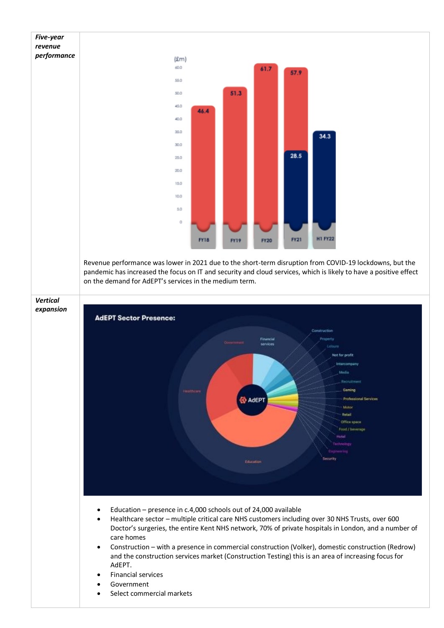